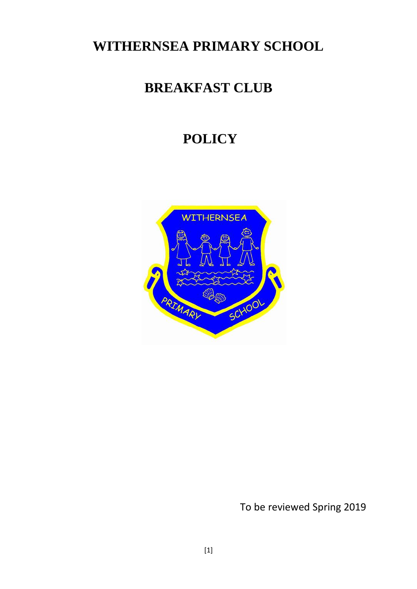# **WITHERNSEA PRIMARY SCHOOL**

# **BREAKFAST CLUB**

# **POLICY**



To be reviewed Spring 2019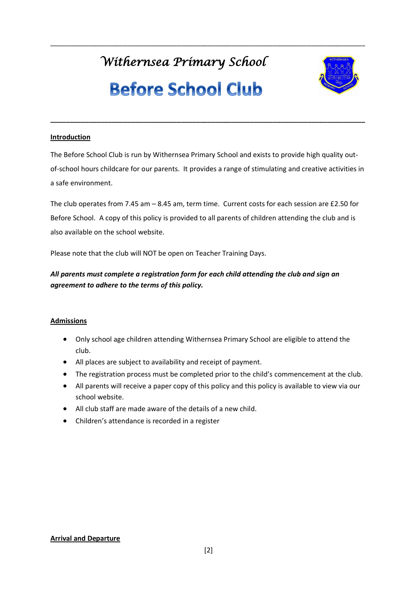*Withernsea Primary School* 

# **Before School Club**



#### **Introduction**

The Before School Club is run by Withernsea Primary School and exists to provide high quality outof-school hours childcare for our parents. It provides a range of stimulating and creative activities in a safe environment.

**\_\_\_\_\_\_\_\_\_\_\_\_\_\_\_\_\_\_\_\_\_\_\_\_\_\_\_\_\_\_\_\_\_\_\_\_\_\_\_\_\_\_\_\_\_\_\_\_\_\_\_\_\_\_\_\_\_\_\_\_\_\_\_\_\_\_\_\_\_\_\_\_\_\_\_\_\_\_\_\_\_\_**

\_\_\_\_\_\_\_\_\_\_\_\_\_\_\_\_\_\_\_\_\_\_\_\_\_\_\_\_\_\_\_\_\_\_\_\_\_\_\_\_\_\_\_\_\_\_\_\_\_\_\_\_\_\_\_\_\_\_\_\_\_\_\_\_\_\_\_\_\_\_\_\_\_\_\_\_\_\_\_\_\_\_

The club operates from 7.45 am – 8.45 am, term time. Current costs for each session are £2.50 for Before School. A copy of this policy is provided to all parents of children attending the club and is also available on the school website.

Please note that the club will NOT be open on Teacher Training Days.

# *All parents must complete a registration form for each child attending the club and sign an agreement to adhere to the terms of this policy.*

#### **Admissions**

- Only school age children attending Withernsea Primary School are eligible to attend the club.
- All places are subject to availability and receipt of payment.
- The registration process must be completed prior to the child's commencement at the club.
- All parents will receive a paper copy of this policy and this policy is available to view via our school website.
- All club staff are made aware of the details of a new child.
- Children's attendance is recorded in a register

## **Arrival and Departure**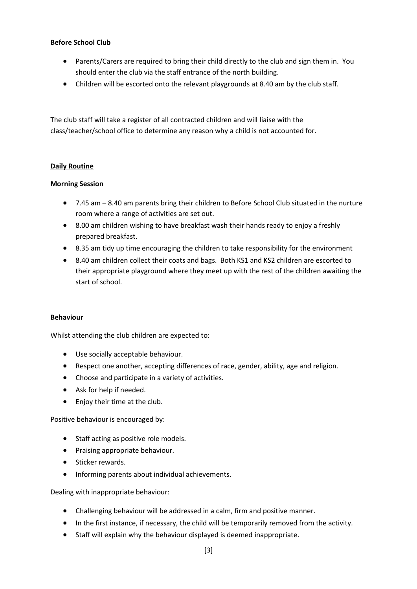#### **Before School Club**

- Parents/Carers are required to bring their child directly to the club and sign them in. You should enter the club via the staff entrance of the north building.
- Children will be escorted onto the relevant playgrounds at 8.40 am by the club staff.

The club staff will take a register of all contracted children and will liaise with the class/teacher/school office to determine any reason why a child is not accounted for.

#### **Daily Routine**

#### **Morning Session**

- 7.45 am 8.40 am parents bring their children to Before School Club situated in the nurture room where a range of activities are set out.
- 8.00 am children wishing to have breakfast wash their hands ready to enjoy a freshly prepared breakfast.
- 8.35 am tidy up time encouraging the children to take responsibility for the environment
- 8.40 am children collect their coats and bags. Both KS1 and KS2 children are escorted to their appropriate playground where they meet up with the rest of the children awaiting the start of school.

#### **Behaviour**

Whilst attending the club children are expected to:

- Use socially acceptable behaviour.
- Respect one another, accepting differences of race, gender, ability, age and religion.
- Choose and participate in a variety of activities.
- Ask for help if needed.
- Enjoy their time at the club.

Positive behaviour is encouraged by:

- Staff acting as positive role models.
- Praising appropriate behaviour.
- Sticker rewards.
- Informing parents about individual achievements.

Dealing with inappropriate behaviour:

- Challenging behaviour will be addressed in a calm, firm and positive manner.
- In the first instance, if necessary, the child will be temporarily removed from the activity.
- Staff will explain why the behaviour displayed is deemed inappropriate.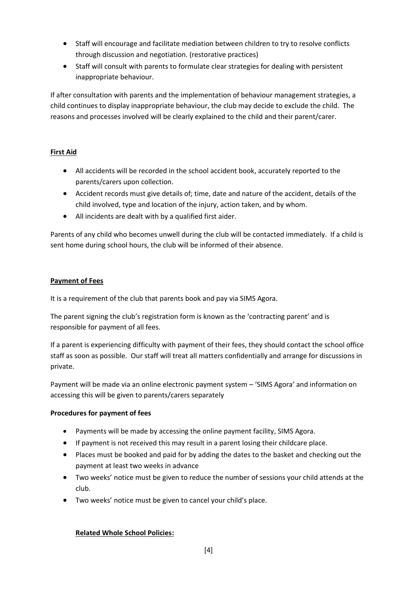- Staff will encourage and facilitate mediation between children to try to resolve conflicts through discussion and negotiation. (restorative practices)
- Staff will consult with parents to formulate clear strategies for dealing with persistent inappropriate behaviour.

If after consultation with parents and the implementation of behaviour management strategies, a child continues to display inappropriate behaviour, the club may decide to exclude the child. The reasons and processes involved will be clearly explained to the child and their parent/carer.

# **First Aid**

- All accidents will be recorded in the school accident book, accurately reported to the parents/carers upon collection.
- Accident records must give details of; time, date and nature of the accident, details of the child involved, type and location of the injury, action taken, and by whom.
- All incidents are dealt with by a qualified first aider.

Parents of any child who becomes unwell during the club will be contacted immediately. If a child is sent home during school hours, the club will be informed of their absence.

# **Payment of Fees**

It is a requirement of the club that parents book and pay via SIMS Agora.

The parent signing the club's registration form is known as the 'contracting parent' and is responsible for payment of all fees.

If a parent is experiencing difficulty with payment of their fees, they should contact the school office staff as soon as possible. Our staff will treat all matters confidentially and arrange for discussions in private.

Payment will be made via an online electronic payment system – 'SIMS Agora' and information on accessing this will be given to parents/carers separately

# **Procedures for payment of fees**

- Payments will be made by accessing the online payment facility, SIMS Agora.
- If payment is not received this may result in a parent losing their childcare place.
- Places must be booked and paid for by adding the dates to the basket and checking out the payment at least two weeks in advance
- Two weeks' notice must be given to reduce the number of sessions your child attends at the club.
- Two weeks' notice must be given to cancel your child's place.

## **Related Whole School Policies:**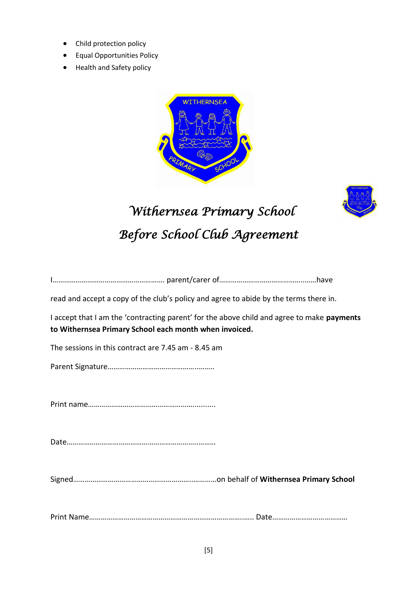- Child protection policy
- Equal Opportunities Policy
- Health and Safety policy





# *Withernsea Primary School Before School Club Agreement*

|--|--|

read and accept a copy of the club's policy and agree to abide by the terms there in.

I accept that I am the 'contracting parent' for the above child and agree to make **payments to Withernsea Primary School each month when invoiced.**

The sessions in this contract are 7.45 am - 8.45 am

Parent Signature………………………………………..……..

Print name………………………………………………...........

Date…………………………………………………………..………

Signed……………………………………………………..…………on behalf of **Withernsea Primary School**

Print Name……………………………………………………………………..….. Date…………………………………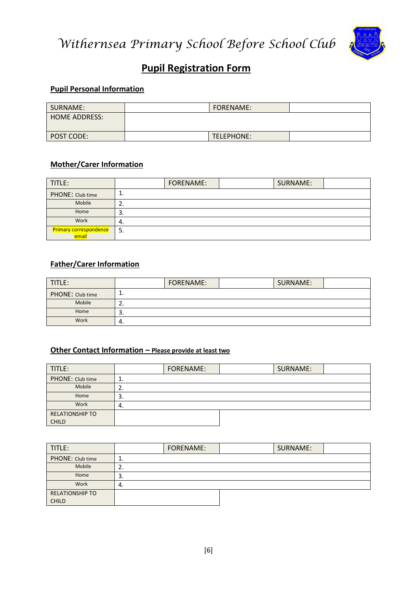



# **Pupil Registration Form**

## **Pupil Personal Information**

| SURNAME:      | FORENAME:  |  |
|---------------|------------|--|
| HOME ADDRESS: |            |  |
|               |            |  |
| POST CODE:    | TELEPHONE: |  |

# **Mother/Carer Information**

| TITLE:                          |          | <b>FORENAME:</b> | SURNAME: |  |
|---------------------------------|----------|------------------|----------|--|
| PHONE: Club time                | ᆠ.       |                  |          |  |
| Mobile                          | <u>.</u> |                  |          |  |
| Home                            | э.       |                  |          |  |
| Work                            | 4.       |                  |          |  |
| Primary correspondence<br>email | 5.       |                  |          |  |

# **Father/Carer Information**

| TITLE:           |          | FORENAME: | SURNAME: |  |
|------------------|----------|-----------|----------|--|
| PHONE: Club time | . .      |           |          |  |
| Mobile           | <u>.</u> |           |          |  |
| Home             | . ب      |           |          |  |
| Work             | 4.       |           |          |  |

## **Other Contact Information – Please provide at least two**

| TITLE:                 |          | FORENAME: | SURNAME: |  |
|------------------------|----------|-----------|----------|--|
| PHONE: Club time       | ᆠ.       |           |          |  |
| Mobile                 | <u>.</u> |           |          |  |
| Home                   | э.       |           |          |  |
| Work                   | 4.       |           |          |  |
| <b>RELATIONSHIP TO</b> |          |           |          |  |
| <b>CHILD</b>           |          |           |          |  |

| TITLE:                                 |          | FORENAME: | SURNAME: |  |
|----------------------------------------|----------|-----------|----------|--|
| PHONE: Club time                       | <b>.</b> |           |          |  |
| Mobile                                 | <u>.</u> |           |          |  |
| Home                                   | э.       |           |          |  |
| Work                                   | 4.       |           |          |  |
| <b>RELATIONSHIP TO</b><br><b>CHILD</b> |          |           |          |  |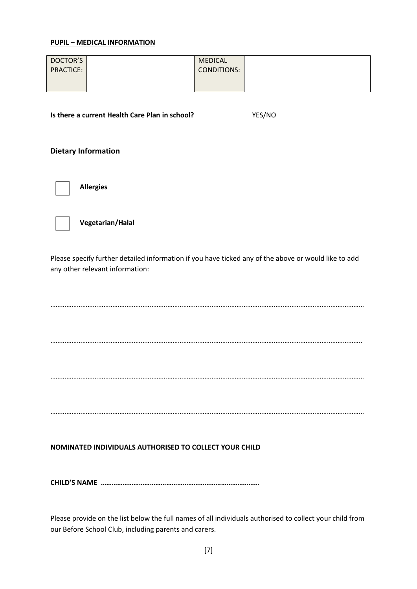#### **PUPIL – MEDICAL INFORMATION**

| DOCTOR'S         | <b>MEDICAL</b> |  |
|------------------|----------------|--|
| <b>PRACTICE:</b> | CONDITIONS:    |  |
|                  |                |  |
|                  |                |  |

**Is there a current Health Care Plan in school?** YES/NO

## **Dietary Information**



**Allergies**



**Vegetarian/Halal**

Please specify further detailed information if you have ticked any of the above or would like to add any other relevant information:

……………………………………………………………………………………………………………………………………………………………

…………………………………………………………………………………………………………………………………………………………..

……………………………………………………………………………………………………………………………………………………………

……………………………………………………………………………………………………………………………………………………………

## **NOMINATED INDIVIDUALS AUTHORISED TO COLLECT YOUR CHILD**

**CHILD'S NAME ……………………………………………………………………………**

Please provide on the list below the full names of all individuals authorised to collect your child from our Before School Club, including parents and carers.